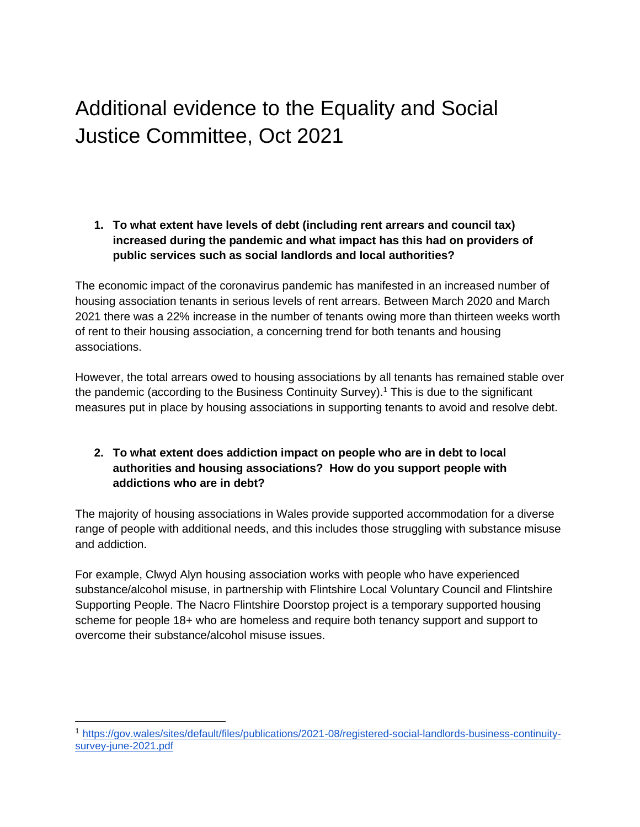## Additional evidence to the Equality and Social Justice Committee, Oct 2021

## **1. To what extent have levels of debt (including rent arrears and council tax) increased during the pandemic and what impact has this had on providers of public services such as social landlords and local authorities?**

The economic impact of the coronavirus pandemic has manifested in an increased number of housing association tenants in serious levels of rent arrears. Between March 2020 and March 2021 there was a 22% increase in the number of tenants owing more than thirteen weeks worth of rent to their housing association, a concerning trend for both tenants and housing associations.

However, the total arrears owed to housing associations by all tenants has remained stable over the pandemic (according to the Business Continuity Survey).<sup>1</sup> This is due to the significant measures put in place by housing associations in supporting tenants to avoid and resolve debt.

## **2. To what extent does addiction impact on people who are in debt to local authorities and housing associations? How do you support people with addictions who are in debt?**

The majority of housing associations in Wales provide supported accommodation for a diverse range of people with additional needs, and this includes those struggling with substance misuse and addiction.

For example, Clwyd Alyn housing association works with people who have experienced substance/alcohol misuse, in partnership with Flintshire Local Voluntary Council and Flintshire Supporting People. The Nacro Flintshire Doorstop project is a temporary supported housing scheme for people 18+ who are homeless and require both tenancy support and support to overcome their substance/alcohol misuse issues.

<sup>1</sup> [https://gov.wales/sites/default/files/publications/2021-08/registered-social-landlords-business-continuity](https://gov.wales/sites/default/files/publications/2021-08/registered-social-landlords-business-continuity-survey-june-2021.pdf)[survey-june-2021.pdf](https://gov.wales/sites/default/files/publications/2021-08/registered-social-landlords-business-continuity-survey-june-2021.pdf)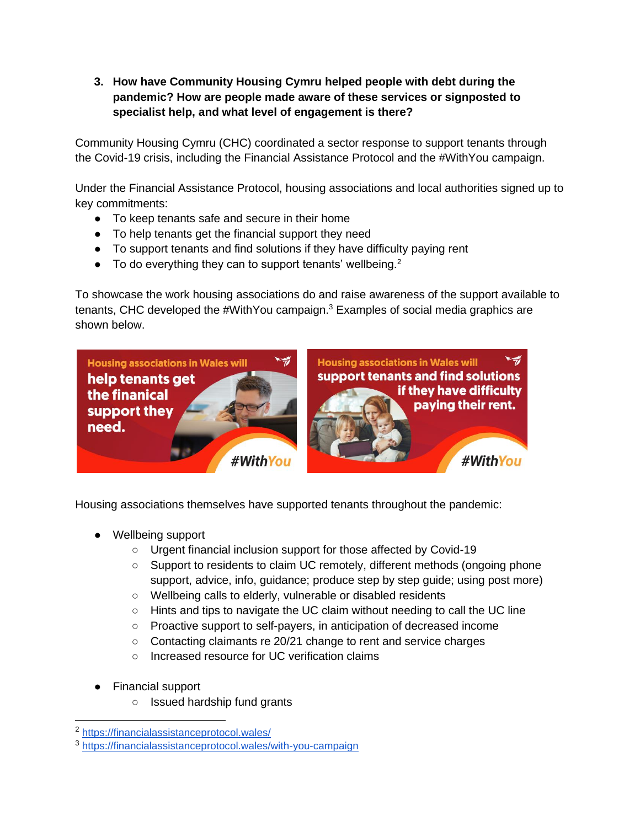**3. How have Community Housing Cymru helped people with debt during the pandemic? How are people made aware of these services or signposted to specialist help, and what level of engagement is there?**

Community Housing Cymru (CHC) coordinated a sector response to support tenants through the Covid-19 crisis, including the Financial Assistance Protocol and the #WithYou campaign.

Under the Financial Assistance Protocol, housing associations and local authorities signed up to key commitments:

- To keep tenants safe and secure in their home
- To help tenants get the financial support they need
- To support tenants and find solutions if they have difficulty paying rent
- $\bullet$  To do everything they can to support tenants' wellbeing.<sup>2</sup>

To showcase the work housing associations do and raise awareness of the support available to tenants, CHC developed the #WithYou campaign.<sup>3</sup> Examples of social media graphics are shown below.



Housing associations themselves have supported tenants throughout the pandemic:

- Wellbeing support
	- Urgent financial inclusion support for those affected by Covid-19
	- Support to residents to claim UC remotely, different methods (ongoing phone support, advice, info, guidance; produce step by step guide; using post more)
	- Wellbeing calls to elderly, vulnerable or disabled residents
	- Hints and tips to navigate the UC claim without needing to call the UC line
	- Proactive support to self-payers, in anticipation of decreased income
	- Contacting claimants re 20/21 change to rent and service charges
	- Increased resource for UC verification claims
- **Financial support** 
	- Issued hardship fund grants

<sup>2</sup> <https://financialassistanceprotocol.wales/>

<sup>3</sup> <https://financialassistanceprotocol.wales/with-you-campaign>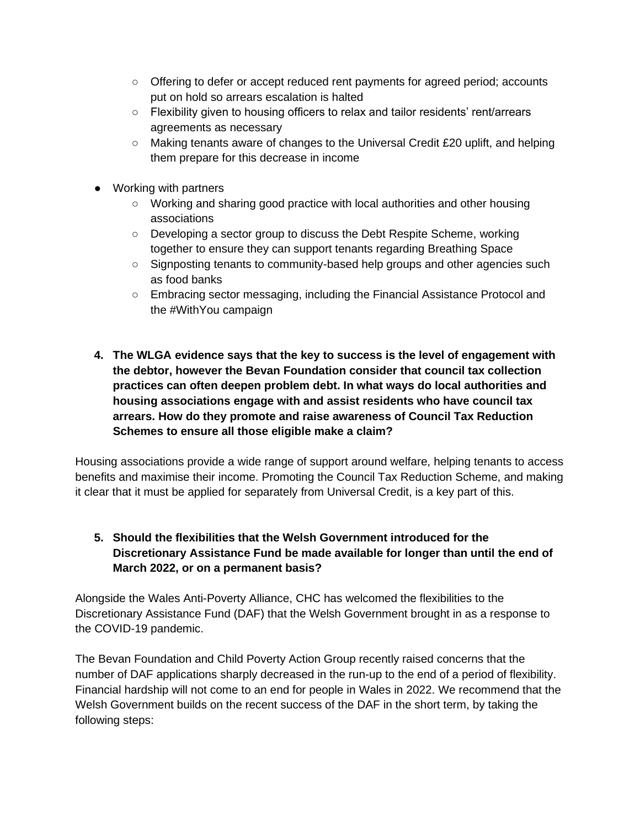- Offering to defer or accept reduced rent payments for agreed period; accounts put on hold so arrears escalation is halted
- Flexibility given to housing officers to relax and tailor residents' rent/arrears agreements as necessary
- Making tenants aware of changes to the Universal Credit £20 uplift, and helping them prepare for this decrease in income
- Working with partners
	- Working and sharing good practice with local authorities and other housing associations
	- Developing a sector group to discuss the Debt Respite Scheme, working together to ensure they can support tenants regarding Breathing Space
	- Signposting tenants to community-based help groups and other agencies such as food banks
	- Embracing sector messaging, including the Financial Assistance Protocol and the #WithYou campaign
- **4. The WLGA evidence says that the key to success is the level of engagement with the debtor, however the Bevan Foundation consider that council tax collection practices can often deepen problem debt. In what ways do local authorities and housing associations engage with and assist residents who have council tax arrears. How do they promote and raise awareness of Council Tax Reduction Schemes to ensure all those eligible make a claim?**

Housing associations provide a wide range of support around welfare, helping tenants to access benefits and maximise their income. Promoting the Council Tax Reduction Scheme, and making it clear that it must be applied for separately from Universal Credit, is a key part of this.

## **5. Should the flexibilities that the Welsh Government introduced for the Discretionary Assistance Fund be made available for longer than until the end of March 2022, or on a permanent basis?**

Alongside the Wales Anti-Poverty Alliance, CHC has welcomed the flexibilities to the Discretionary Assistance Fund (DAF) that the Welsh Government brought in as a response to the COVID-19 pandemic.

The Bevan Foundation and Child Poverty Action Group recently raised concerns that the number of DAF applications sharply decreased in the run-up to the end of a period of flexibility. Financial hardship will not come to an end for people in Wales in 2022. We recommend that the Welsh Government builds on the recent success of the DAF in the short term, by taking the following steps: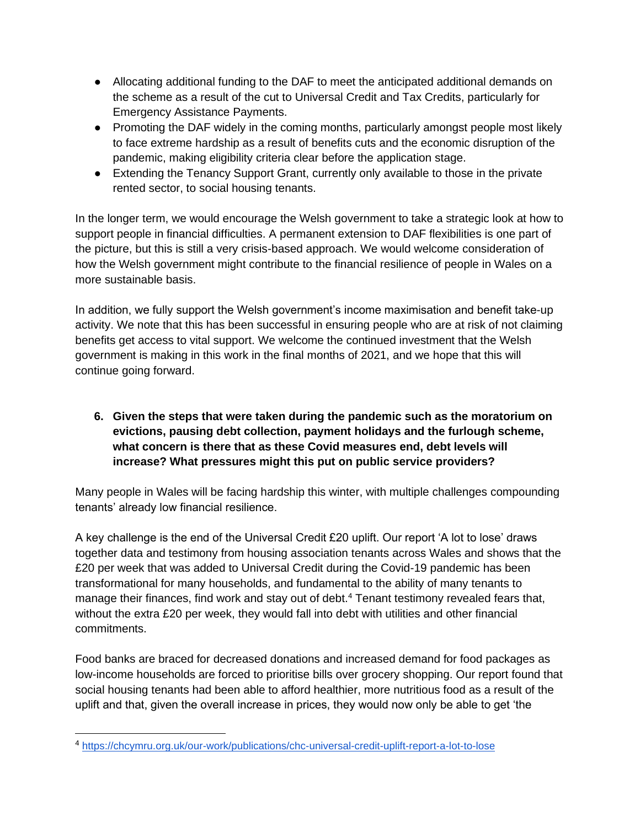- Allocating additional funding to the DAF to meet the anticipated additional demands on the scheme as a result of the cut to Universal Credit and Tax Credits, particularly for Emergency Assistance Payments.
- Promoting the DAF widely in the coming months, particularly amongst people most likely to face extreme hardship as a result of benefits cuts and the economic disruption of the pandemic, making eligibility criteria clear before the application stage.
- Extending the Tenancy Support Grant, currently only available to those in the private rented sector, to social housing tenants.

In the longer term, we would encourage the Welsh government to take a strategic look at how to support people in financial difficulties. A permanent extension to DAF flexibilities is one part of the picture, but this is still a very crisis-based approach. We would welcome consideration of how the Welsh government might contribute to the financial resilience of people in Wales on a more sustainable basis.

In addition, we fully support the Welsh government's income maximisation and benefit take-up activity. We note that this has been successful in ensuring people who are at risk of not claiming benefits get access to vital support. We welcome the continued investment that the Welsh government is making in this work in the final months of 2021, and we hope that this will continue going forward.

**6. Given the steps that were taken during the pandemic such as the moratorium on evictions, pausing debt collection, payment holidays and the furlough scheme, what concern is there that as these Covid measures end, debt levels will increase? What pressures might this put on public service providers?**

Many people in Wales will be facing hardship this winter, with multiple challenges compounding tenants' already low financial resilience.

A key challenge is the end of the Universal Credit £20 uplift. Our report 'A lot to lose' draws together data and testimony from housing association tenants across Wales and shows that the £20 per week that was added to Universal Credit during the Covid-19 pandemic has been transformational for many households, and fundamental to the ability of many tenants to manage their finances, find work and stay out of debt.<sup>4</sup> Tenant testimony revealed fears that, without the extra £20 per week, they would fall into debt with utilities and other financial commitments.

Food banks are braced for decreased donations and increased demand for food packages as low-income households are forced to prioritise bills over grocery shopping. Our report found that social housing tenants had been able to afford healthier, more nutritious food as a result of the uplift and that, given the overall increase in prices, they would now only be able to get 'the

<sup>4</sup> <https://chcymru.org.uk/our-work/publications/chc-universal-credit-uplift-report-a-lot-to-lose>